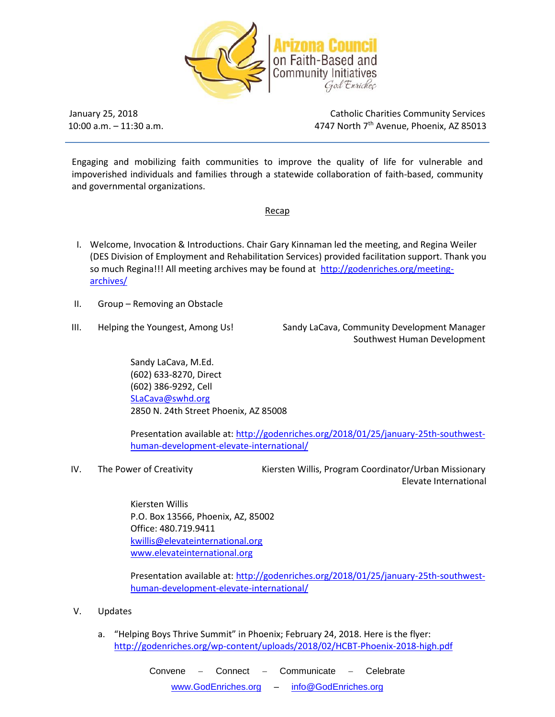

 $10:00$  a.m.  $-11:30$  a.m.

January 25, 2018 Catholic Charities Community Services 4747 North 7<sup>th</sup> Avenue, Phoenix, AZ 85013

Engaging and mobilizing faith communities to improve the quality of life for vulnerable and impoverished individuals and families through a statewide collaboration of faith-based, community and governmental organizations.

Recap

- I. Welcome, Invocation & Introductions. Chair Gary Kinnaman led the meeting, and Regina Weiler (DES Division of Employment and Rehabilitation Services) provided facilitation support. Thank you so much Regina!!! All meeting archives may be found at [http://godenriches.org/meeting](http://godenriches.org/meeting-archives/)[archives/](http://godenriches.org/meeting-archives/)
- II. Group Removing an Obstacle
- 

III. Helping the Youngest, Among Us! Sandy LaCava, Community Development Manager Southwest Human Development

> Sandy LaCava, M.Ed. (602) 633-8270, Direct (602) 386-9292, Cell [SLaCava@swhd.org](mailto:SLaCava@swhd.org) 2850 N. 24th Street Phoenix, AZ 85008

Presentation available at: [http://godenriches.org/2018/01/25/january-25th-southwest](http://godenriches.org/2018/01/25/january-25th-southwest-human-development-elevate-international/)[human-development-elevate-international/](http://godenriches.org/2018/01/25/january-25th-southwest-human-development-elevate-international/)

IV. The Power of Creativity **Kiersten Willis, Program Coordinator/Urban Missionary** Elevate International

> Kiersten Willis P.O. Box 13566, Phoenix, AZ, 85002 Office: 480.719.9411 [kwillis@elevateinternational.org](mailto:kwillis@elevateinternational.org) [www.elevateinternational.org](http://www.elevateinternational.org/)

Presentation available at: [http://godenriches.org/2018/01/25/january-25th-southwest](http://godenriches.org/2018/01/25/january-25th-southwest-human-development-elevate-international/)[human-development-elevate-international/](http://godenriches.org/2018/01/25/january-25th-southwest-human-development-elevate-international/)

- V. Updates
	- a. "Helping Boys Thrive Summit" in Phoenix; February 24, 2018. Here is the flyer: <http://godenriches.org/wp-content/uploads/2018/02/HCBT-Phoenix-2018-high.pdf>